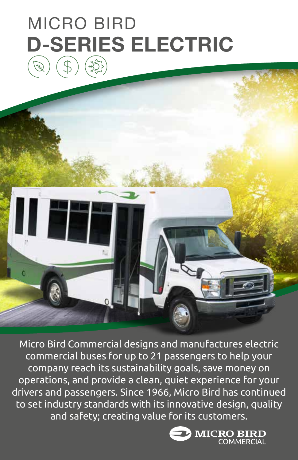# **D-SERIES ELECTRIC** MICRO BIRD



Micro Bird Commercial designs and manufactures electric commercial buses for up to 21 passengers to help your company reach its sustainability goals, save money on operations, and provide a clean, quiet experience for your drivers and passengers. Since 1966, Micro Bird has continued to set industry standards with its innovative design, quality and safety; creating value for its customers.